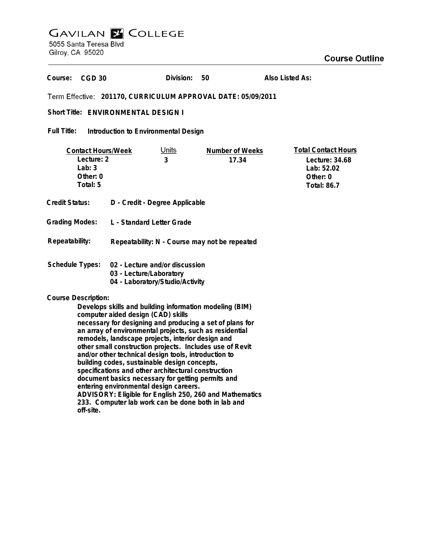## **GAVILAN E COLLEGE**

5055 Santa Teresa Blvd Gilroy, CA 95020

## **Course Outline**

**Division: 50Also Listed As:** Course: CGD 30 **201170, CURRICULUM APPROVAL DATE: 05/09/2011** Short Title: ENVIRONMENTAL DESIGN I **Full Title: Introduction to Environmental Design Total Contact Hours Contact Hours/Week** Units **Number of Weeks Lecture: 2 3 17.34 Lecture: 34.68 Lab: 3 Lab: 52.02 Other: 0 Other: 0 Total: 5 Total: 86.7 Credit Status: D - Credit - Degree Applicable Grading Modes: L - Standard Letter Grade Repeatability: Repeatability: N - Course may not be repeated Schedule Types: 02 - Lecture and/or discussion 03 - Lecture/Laboratory 04 - Laboratory/Studio/Activity Course Description: Develops skills and building information modeling (BIM) computer aided design (CAD) skills necessary for designing and producing a set of plans for an array of environmental projects, such as residential remodels, landscape projects, interior design and other small construction projects. Includes use of Revit**

**and/or other technical design tools, introduction to building codes, sustainable design concepts, specifications and other architectural construction document basics necessary for getting permits and**

**ADVISORY: Eligible for English 250, 260 and Mathematics 233. Computer lab work can be done both in lab and**

**entering environmental design careers.**

**off-site.**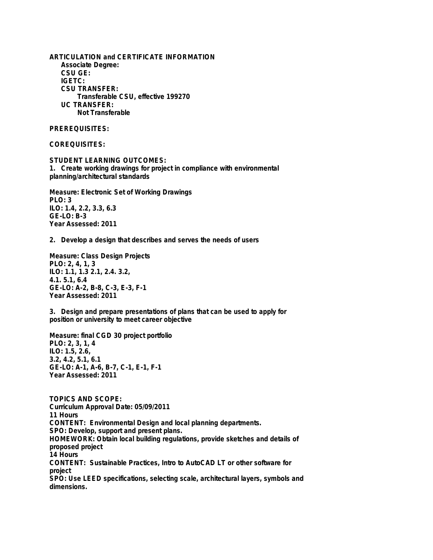**ARTICULATION and CERTIFICATE INFORMATION Associate Degree: CSU GE: IGETC: CSU TRANSFER: Transferable CSU, effective 199270 UC TRANSFER: Not Transferable**

**PREREQUISITES:**

**COREQUISITES:**

**STUDENT LEARNING OUTCOMES: 1. Create working drawings for project in compliance with environmental planning/architectural standards**

**Measure: Electronic Set of Working Drawings PLO: 3 ILO: 1.4, 2.2, 3.3, 6.3 GE-LO: B-3 Year Assessed: 2011**

**2. Develop a design that describes and serves the needs of users**

**Measure: Class Design Projects PLO: 2, 4, 1, 3 ILO: 1.1, 1.3 2.1, 2.4. 3.2, 4.1. 5.1, 6.4 GE-LO: A-2, B-8, C-3, E-3, F-1 Year Assessed: 2011**

**3. Design and prepare presentations of plans that can be used to apply for position or university to meet career objective**

**Measure: final CGD 30 project portfolio PLO: 2, 3, 1, 4 ILO: 1.5, 2.6, 3.2, 4.2, 5.1, 6.1 GE-LO: A-1, A-6, B-7, C-1, E-1, F-1 Year Assessed: 2011**

**TOPICS AND SCOPE: Curriculum Approval Date: 05/09/2011 11 Hours CONTENT: Environmental Design and local planning departments. SPO: Develop, support and present plans. HOMEWORK: Obtain local building regulations, provide sketches and details of proposed project 14 Hours CONTENT: Sustainable Practices, Intro to AutoCAD LT or other software for project SPO: Use LEED specifications, selecting scale, architectural layers, symbols and dimensions.**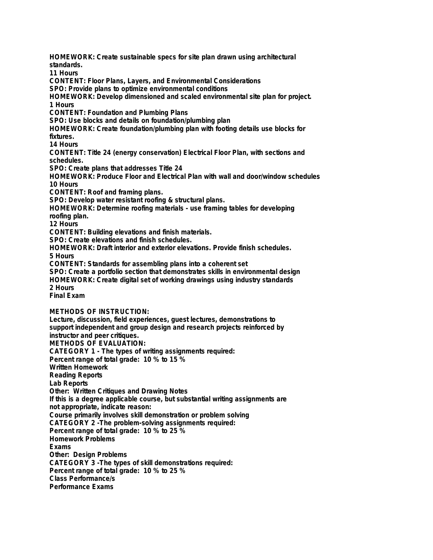**HOMEWORK: Create sustainable specs for site plan drawn using architectural standards. 11 Hours**

**CONTENT: Floor Plans, Layers, and Environmental Considerations**

**SPO: Provide plans to optimize environmental conditions**

**HOMEWORK: Develop dimensioned and scaled environmental site plan for project. 1 Hours**

**CONTENT: Foundation and Plumbing Plans**

**SPO: Use blocks and details on foundation/plumbing plan**

**HOMEWORK: Create foundation/plumbing plan with footing details use blocks for fixtures.**

**14 Hours**

**CONTENT: Title 24 (energy conservation) Electrical Floor Plan, with sections and schedules.**

**SPO: Create plans that addresses Title 24**

**HOMEWORK: Produce Floor and Electrical Plan with wall and door/window schedules 10 Hours**

**CONTENT: Roof and framing plans.**

**SPO: Develop water resistant roofing & structural plans.**

**HOMEWORK: Determine roofing materials - use framing tables for developing roofing plan.**

**12 Hours**

**CONTENT: Building elevations and finish materials.**

**SPO: Create elevations and finish schedules.**

**HOMEWORK: Draft interior and exterior elevations. Provide finish schedules. 5 Hours**

**CONTENT: Standards for assembling plans into a coherent set**

**SPO: Create a portfolio section that demonstrates skills in environmental design HOMEWORK: Create digital set of working drawings using industry standards 2 Hours**

**Final Exam**

**METHODS OF INSTRUCTION:**

**Lecture, discussion, field experiences, guest lectures, demonstrations to support independent and group design and research projects reinforced by instructor and peer critiques. METHODS OF EVALUATION: CATEGORY 1 - The types of writing assignments required: Percent range of total grade: 10 % to 15 % Written Homework Reading Reports Lab Reports Other: Written Critiques and Drawing Notes If this is a degree applicable course, but substantial writing assignments are not appropriate, indicate reason: Course primarily involves skill demonstration or problem solving CATEGORY 2 -The problem-solving assignments required: Percent range of total grade: 10 % to 25 % Homework Problems Exams Other: Design Problems CATEGORY 3 -The types of skill demonstrations required: Percent range of total grade: 10 % to 25 % Class Performance/s Performance Exams**